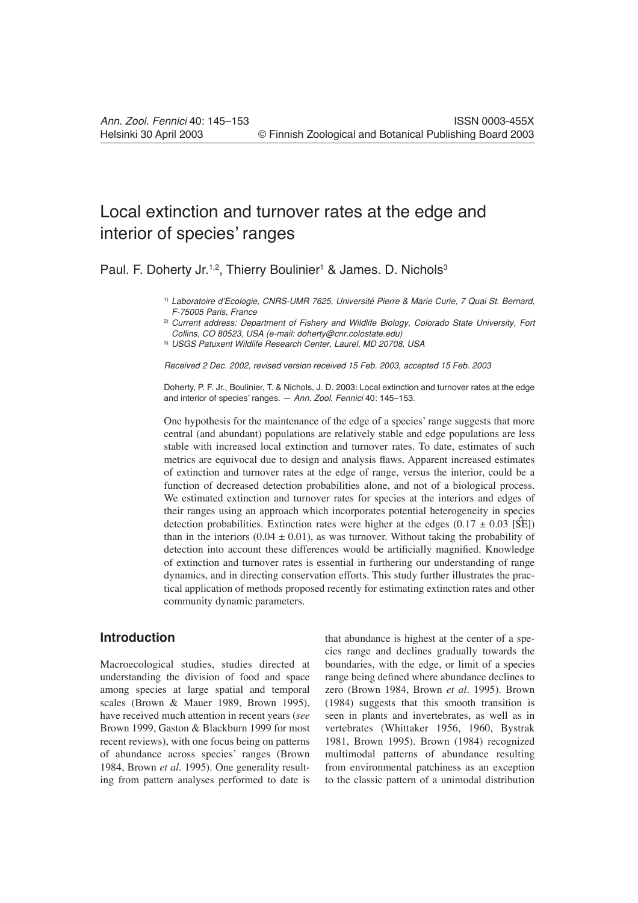# Local extinction and turnover rates at the edge and interior of species' ranges

Paul. F. Doherty Jr.<sup>1,2</sup>, Thierry Boulinier<sup>1</sup> & James. D. Nichols<sup>3</sup>

1) *Laboratoire d'Ecologie, CNRS-UMR 7625, Université Pierre & Marie Curie, 7 Quai St. Bernard, F-75005 Paris, France*

2) *Current address: Department of Fishery and Wildlife Biology, Colorado State University, Fort Collins, CO 80523, USA (e-mail: doherty@cnr.colostate.edu)*

3) *USGS Patuxent Wildlife Research Center, Laurel, MD 20708, USA*

*Received 2 Dec. 2002, revised version received 15 Feb. 2003, accepted 15 Feb. 2003*

Doherty, P. F. Jr., Boulinier, T. & Nichols, J. D. 2003: Local extinction and turnover rates at the edge and interior of species' ranges. — *Ann. Zool. Fennici* 40: 145–153.

One hypothesis for the maintenance of the edge of a species' range suggests that more central (and abundant) populations are relatively stable and edge populations are less stable with increased local extinction and turnover rates. To date, estimates of such metrics are equivocal due to design and analysis flaws. Apparent increased estimates of extinction and turnover rates at the edge of range, versus the interior, could be a function of decreased detection probabilities alone, and not of a biological process. We estimated extinction and turnover rates for species at the interiors and edges of their ranges using an approach which incorporates potential heterogeneity in species detection probabilities. Extinction rates were higher at the edges  $(0.17 \pm 0.03$  [SE]) than in the interiors  $(0.04 \pm 0.01)$ , as was turnover. Without taking the probability of detection into account these differences would be artificially magnified. Knowledge of extinction and turnover rates is essential in furthering our understanding of range dynamics, and in directing conservation efforts. This study further illustrates the practical application of methods proposed recently for estimating extinction rates and other community dynamic parameters.

# **Introduction**

Macroecological studies, studies directed at understanding the division of food and space among species at large spatial and temporal scales (Brown & Mauer 1989, Brown 1995), have received much attention in recent years (*see* Brown 1999, Gaston & Blackburn 1999 for most recent reviews), with one focus being on patterns of abundance across species' ranges (Brown 1984, Brown *et al.* 1995). One generality resulting from pattern analyses performed to date is

that abundance is highest at the center of a species range and declines gradually towards the boundaries, with the edge, or limit of a species range being defined where abundance declines to zero (Brown 1984, Brown *et al.* 1995). Brown (1984) suggests that this smooth transition is seen in plants and invertebrates, as well as in vertebrates (Whittaker 1956, 1960, Bystrak 1981, Brown 1995). Brown (1984) recognized multimodal patterns of abundance resulting from environmental patchiness as an exception to the classic pattern of a unimodal distribution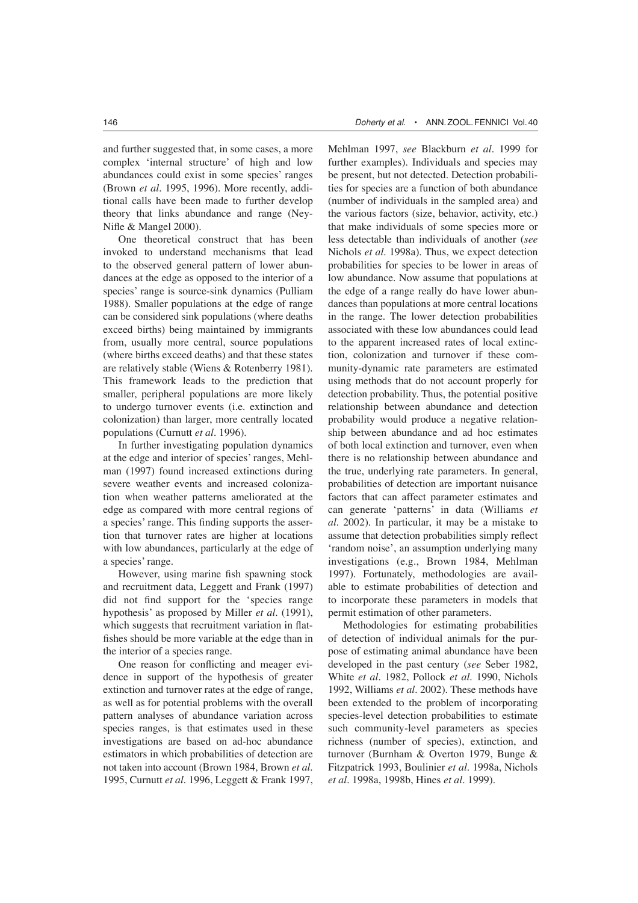and further suggested that, in some cases, a more complex 'internal structure' of high and low abundances could exist in some species' ranges (Brown *et al.* 1995, 1996). More recently, additional calls have been made to further develop theory that links abundance and range (Ney-Nifle & Mangel 2000).

One theoretical construct that has been invoked to understand mechanisms that lead to the observed general pattern of lower abundances at the edge as opposed to the interior of a species' range is source-sink dynamics (Pulliam 1988). Smaller populations at the edge of range can be considered sink populations (where deaths exceed births) being maintained by immigrants from, usually more central, source populations (where births exceed deaths) and that these states are relatively stable (Wiens & Rotenberry 1981). This framework leads to the prediction that smaller, peripheral populations are more likely to undergo turnover events (i.e. extinction and colonization) than larger, more centrally located populations (Curnutt *et al.* 1996).

In further investigating population dynamics at the edge and interior of species' ranges, Mehlman (1997) found increased extinctions during severe weather events and increased colonization when weather patterns ameliorated at the edge as compared with more central regions of a species' range. This finding supports the assertion that turnover rates are higher at locations with low abundances, particularly at the edge of a species' range.

However, using marine fish spawning stock and recruitment data, Leggett and Frank (1997) did not find support for the 'species range hypothesis' as proposed by Miller *et al.* (1991), which suggests that recruitment variation in flatfishes should be more variable at the edge than in the interior of a species range.

One reason for conflicting and meager evidence in support of the hypothesis of greater extinction and turnover rates at the edge of range, as well as for potential problems with the overall pattern analyses of abundance variation across species ranges, is that estimates used in these investigations are based on ad-hoc abundance estimators in which probabilities of detection are not taken into account (Brown 1984, Brown *et al.* 1995, Curnutt *et al.* 1996, Leggett & Frank 1997, Mehlman 1997, *see* Blackburn *et al.* 1999 for further examples). Individuals and species may be present, but not detected. Detection probabilities for species are a function of both abundance (number of individuals in the sampled area) and the various factors (size, behavior, activity, etc.) that make individuals of some species more or less detectable than individuals of another (*see* Nichols *et al.* 1998a). Thus, we expect detection probabilities for species to be lower in areas of low abundance. Now assume that populations at the edge of a range really do have lower abundances than populations at more central locations in the range. The lower detection probabilities associated with these low abundances could lead to the apparent increased rates of local extinction, colonization and turnover if these community-dynamic rate parameters are estimated using methods that do not account properly for detection probability. Thus, the potential positive relationship between abundance and detection probability would produce a negative relationship between abundance and ad hoc estimates of both local extinction and turnover, even when there is no relationship between abundance and the true, underlying rate parameters. In general, probabilities of detection are important nuisance factors that can affect parameter estimates and can generate 'patterns' in data (Williams *et al.* 2002). In particular, it may be a mistake to assume that detection probabilities simply reflect 'random noise', an assumption underlying many investigations (e.g., Brown 1984, Mehlman 1997). Fortunately, methodologies are available to estimate probabilities of detection and to incorporate these parameters in models that permit estimation of other parameters.

Methodologies for estimating probabilities of detection of individual animals for the purpose of estimating animal abundance have been developed in the past century (*see* Seber 1982, White *et al.* 1982, Pollock *et al.* 1990, Nichols 1992, Williams *et al.* 2002). These methods have been extended to the problem of incorporating species-level detection probabilities to estimate such community-level parameters as species richness (number of species), extinction, and turnover (Burnham & Overton 1979, Bunge & Fitzpatrick 1993, Boulinier *et al.* 1998a, Nichols *et al.* 1998a, 1998b, Hines *et al.* 1999).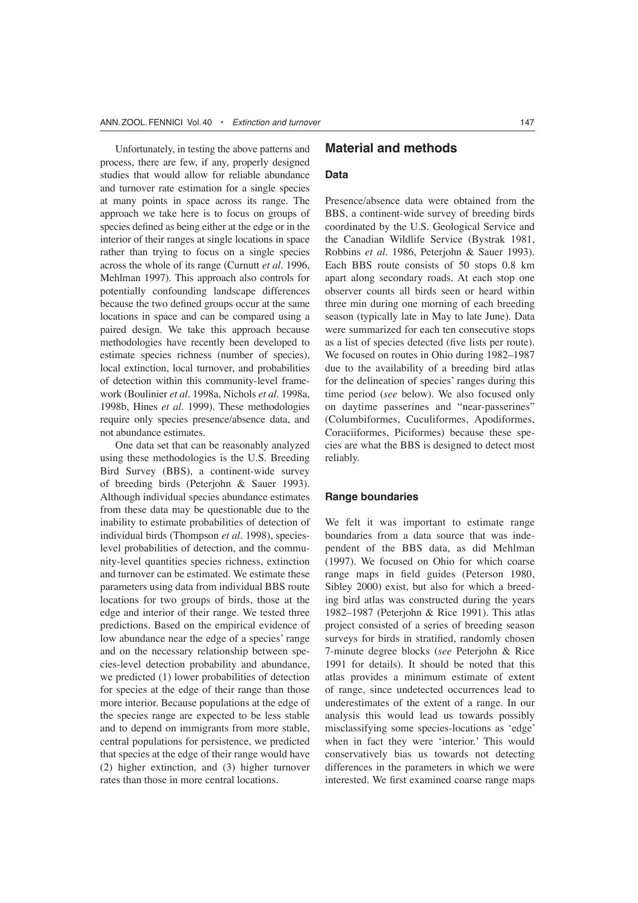Unfortunately, in testing the above patterns and process, there are few, if any, properly designed studies that would allow for reliable abundance and turnover rate estimation for a single species at many points in space across its range. The approach we take here is to focus on groups of species defined as being either at the edge or in the interior of their ranges at single locations in space rather than trying to focus on a single species across the whole of its range (Curnutt *et al.* 1996, Mehlman 1997). This approach also controls for potentially confounding landscape differences because the two defined groups occur at the same locations in space and can be compared using a paired design. We take this approach because methodologies have recently been developed to estimate species richness (number of species), local extinction, local turnover, and probabilities of detection within this community-level framework (Boulinier *et al.* 1998a, Nichols *et al.* 1998a, 1998b, Hines *et al.* 1999). These methodologies require only species presence/absence data, and not abundance estimates.

One data set that can be reasonably analyzed using these methodologies is the U.S. Breeding Bird Survey (BBS), a continent-wide survey of breeding birds (Peterjohn & Sauer 1993). Although individual species abundance estimates from these data may be questionable due to the inability to estimate probabilities of detection of individual birds (Thompson *et al.* 1998), specieslevel probabilities of detection, and the community-level quantities species richness, extinction and turnover can be estimated. We estimate these parameters using data from individual BBS route locations for two groups of birds, those at the edge and interior of their range. We tested three predictions. Based on the empirical evidence of low abundance near the edge of a species' range and on the necessary relationship between species-level detection probability and abundance, we predicted (1) lower probabilities of detection for species at the edge of their range than those more interior. Because populations at the edge of the species range are expected to be less stable and to depend on immigrants from more stable, central populations for persistence, we predicted that species at the edge of their range would have (2) higher extinction, and (3) higher turnover rates than those in more central locations.

# **Material and methods**

#### **Data**

Presence/absence data were obtained from the BBS, a continent-wide survey of breeding birds coordinated by the U.S. Geological Service and the Canadian Wildlife Service (Bystrak 1981, Robbins *et al.* 1986, Peterjohn & Sauer 1993). Each BBS route consists of 50 stops 0.8 km apart along secondary roads. At each stop one observer counts all birds seen or heard within three min during one morning of each breeding season (typically late in May to late June). Data were summarized for each ten consecutive stops as a list of species detected (five lists per route). We focused on routes in Ohio during 1982–1987 due to the availability of a breeding bird atlas for the delineation of species' ranges during this time period (*see* below). We also focused only on daytime passerines and "near-passerines" (Columbiformes, Cuculiformes, Apodiformes, Coraciiformes, Piciformes) because these species are what the BBS is designed to detect most reliably.

#### **Range boundaries**

We felt it was important to estimate range boundaries from a data source that was independent of the BBS data, as did Mehlman (1997). We focused on Ohio for which coarse range maps in field guides (Peterson 1980, Sibley 2000) exist, but also for which a breeding bird atlas was constructed during the years 1982–1987 (Peterjohn & Rice 1991). This atlas project consisted of a series of breeding season surveys for birds in stratified, randomly chosen 7-minute degree blocks (*see* Peterjohn & Rice 1991 for details). It should be noted that this atlas provides a minimum estimate of extent of range, since undetected occurrences lead to underestimates of the extent of a range. In our analysis this would lead us towards possibly misclassifying some species-locations as 'edge' when in fact they were 'interior.' This would conservatively bias us towards not detecting differences in the parameters in which we were interested. We first examined coarse range maps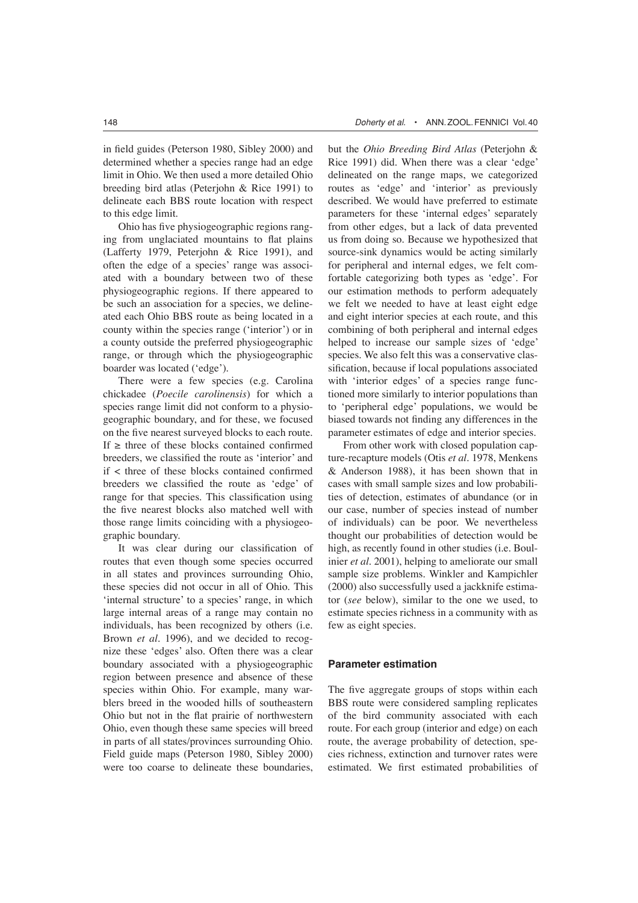in field guides (Peterson 1980, Sibley 2000) and determined whether a species range had an edge limit in Ohio. We then used a more detailed Ohio breeding bird atlas (Peterjohn & Rice 1991) to delineate each BBS route location with respect to this edge limit.

Ohio has five physiogeographic regions ranging from unglaciated mountains to flat plains (Lafferty 1979, Peterjohn & Rice 1991), and often the edge of a species' range was associated with a boundary between two of these physiogeographic regions. If there appeared to be such an association for a species, we delineated each Ohio BBS route as being located in a county within the species range ('interior') or in a county outside the preferred physiogeographic range, or through which the physiogeographic boarder was located ('edge').

There were a few species (e.g. Carolina chickadee (*Poecile carolinensis*) for which a species range limit did not conform to a physiogeographic boundary, and for these, we focused on the five nearest surveyed blocks to each route. If  $\geq$  three of these blocks contained confirmed breeders, we classified the route as 'interior' and if < three of these blocks contained confirmed breeders we classified the route as 'edge' of range for that species. This classification using the five nearest blocks also matched well with those range limits coinciding with a physiogeographic boundary.

It was clear during our classification of routes that even though some species occurred in all states and provinces surrounding Ohio, these species did not occur in all of Ohio. This 'internal structure' to a species' range, in which large internal areas of a range may contain no individuals, has been recognized by others (i.e. Brown *et al.* 1996), and we decided to recognize these 'edges' also. Often there was a clear boundary associated with a physiogeographic region between presence and absence of these species within Ohio. For example, many warblers breed in the wooded hills of southeastern Ohio but not in the flat prairie of northwestern Ohio, even though these same species will breed in parts of all states/provinces surrounding Ohio. Field guide maps (Peterson 1980, Sibley 2000) were too coarse to delineate these boundaries,

but the *Ohio Breeding Bird Atlas* (Peterjohn & Rice 1991) did. When there was a clear 'edge' delineated on the range maps, we categorized routes as 'edge' and 'interior' as previously described. We would have preferred to estimate parameters for these 'internal edges' separately from other edges, but a lack of data prevented us from doing so. Because we hypothesized that source-sink dynamics would be acting similarly for peripheral and internal edges, we felt comfortable categorizing both types as 'edge'. For our estimation methods to perform adequately we felt we needed to have at least eight edge and eight interior species at each route, and this combining of both peripheral and internal edges helped to increase our sample sizes of 'edge' species. We also felt this was a conservative classification, because if local populations associated with 'interior edges' of a species range functioned more similarly to interior populations than to 'peripheral edge' populations, we would be biased towards not finding any differences in the parameter estimates of edge and interior species.

From other work with closed population capture-recapture models (Otis *et al.* 1978, Menkens & Anderson 1988), it has been shown that in cases with small sample sizes and low probabilities of detection, estimates of abundance (or in our case, number of species instead of number of individuals) can be poor. We nevertheless thought our probabilities of detection would be high, as recently found in other studies (i.e. Boulinier *et al.* 2001), helping to ameliorate our small sample size problems. Winkler and Kampichler (2000) also successfully used a jackknife estimator (*see* below), similar to the one we used, to estimate species richness in a community with as few as eight species.

#### **Parameter estimation**

The five aggregate groups of stops within each BBS route were considered sampling replicates of the bird community associated with each route. For each group (interior and edge) on each route, the average probability of detection, species richness, extinction and turnover rates were estimated. We first estimated probabilities of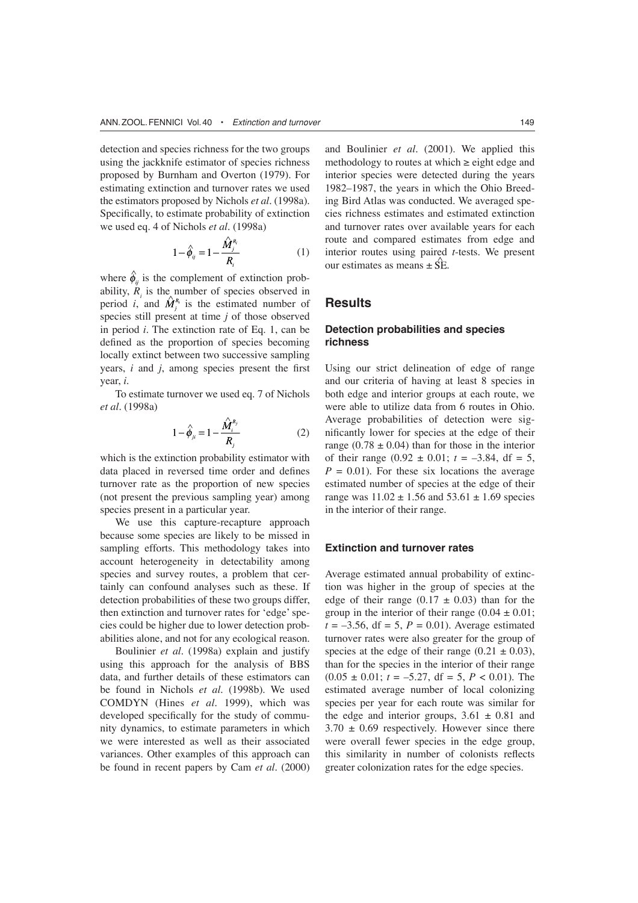detection and species richness for the two groups using the jackknife estimator of species richness proposed by Burnham and Overton (1979). For estimating extinction and turnover rates we used the estimators proposed by Nichols *et al.* (1998a). Specifically, to estimate probability of extinction we used eq. 4 of Nichols *et al.* (1998a)

$$
1 - \hat{\phi}_{ij} = 1 - \frac{\dot{M}_j^{R_i}}{R_i} \tag{1}
$$

where  $\hat{\phi}_{ii}$  is the complement of extinction probability, *Ri* is the number of species observed in period *i*, and  $\hat{M}_{i}^{R_{i}}$  is the estimated number of species still present at time *j* of those observed in period *i*. The extinction rate of Eq. 1, can be defined as the proportion of species becoming locally extinct between two successive sampling years, *i* and *j*, among species present the first year, *i*.

To estimate turnover we used eq. 7 of Nichols *et al.* (1998a)

$$
1 - \hat{\phi}_{ji} = 1 - \frac{\hat{M}_i^{R_j}}{R_i} \tag{2}
$$

which is the extinction probability estimator with data placed in reversed time order and defines turnover rate as the proportion of new species (not present the previous sampling year) among species present in a particular year.

We use this capture-recapture approach because some species are likely to be missed in sampling efforts. This methodology takes into account heterogeneity in detectability among species and survey routes, a problem that certainly can confound analyses such as these. If detection probabilities of these two groups differ, then extinction and turnover rates for 'edge' species could be higher due to lower detection probabilities alone, and not for any ecological reason.

Boulinier *et al.* (1998a) explain and justify using this approach for the analysis of BBS data, and further details of these estimators can be found in Nichols *et al*. (1998b). We used COMDYN (Hines *et al.* 1999), which was developed specifically for the study of community dynamics, to estimate parameters in which we were interested as well as their associated variances. Other examples of this approach can be found in recent papers by Cam *et al.* (2000)

and Boulinier *et al.* (2001). We applied this methodology to routes at which  $\geq$  eight edge and interior species were detected during the years 1982–1987, the years in which the Ohio Breeding Bird Atlas was conducted. We averaged species richness estimates and estimated extinction and turnover rates over available years for each route and compared estimates from edge and interior routes using paired *t*-tests. We present our estimates as means  $+ S \hat{E}$ .

## **Results**

## **Detection probabilities and species richness**

Using our strict delineation of edge of range and our criteria of having at least 8 species in both edge and interior groups at each route, we were able to utilize data from 6 routes in Ohio. Average probabilities of detection were significantly lower for species at the edge of their range (0.78  $\pm$  0.04) than for those in the interior of their range  $(0.92 \pm 0.01; t = -3.84, df = 5,$  $P = 0.01$ . For these six locations the average estimated number of species at the edge of their range was  $11.02 \pm 1.56$  and  $53.61 \pm 1.69$  species in the interior of their range.

### **Extinction and turnover rates**

Average estimated annual probability of extinction was higher in the group of species at the edge of their range  $(0.17 \pm 0.03)$  than for the group in the interior of their range  $(0.04 \pm 0.01)$ ;  $t = -3.56$ , df = 5,  $P = 0.01$ ). Average estimated turnover rates were also greater for the group of species at the edge of their range  $(0.21 \pm 0.03)$ , than for the species in the interior of their range  $(0.05 \pm 0.01; t = -5.27, df = 5, P < 0.01)$ . The estimated average number of local colonizing species per year for each route was similar for the edge and interior groups,  $3.61 \pm 0.81$  and  $3.70 \pm 0.69$  respectively. However since there were overall fewer species in the edge group, this similarity in number of colonists reflects greater colonization rates for the edge species.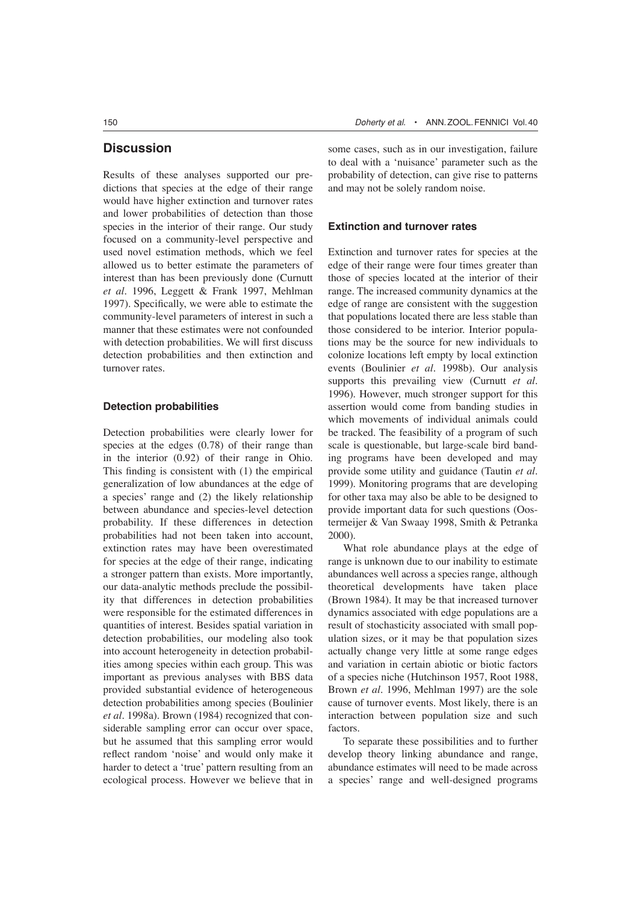# **Discussion**

Results of these analyses supported our predictions that species at the edge of their range would have higher extinction and turnover rates and lower probabilities of detection than those species in the interior of their range. Our study focused on a community-level perspective and used novel estimation methods, which we feel allowed us to better estimate the parameters of interest than has been previously done (Curnutt *et al.* 1996, Leggett & Frank 1997, Mehlman 1997). Specifically, we were able to estimate the community-level parameters of interest in such a manner that these estimates were not confounded with detection probabilities. We will first discuss detection probabilities and then extinction and turnover rates.

## **Detection probabilities**

Detection probabilities were clearly lower for species at the edges (0.78) of their range than in the interior (0.92) of their range in Ohio. This finding is consistent with (1) the empirical generalization of low abundances at the edge of a species' range and (2) the likely relationship between abundance and species-level detection probability. If these differences in detection probabilities had not been taken into account, extinction rates may have been overestimated for species at the edge of their range, indicating a stronger pattern than exists. More importantly, our data-analytic methods preclude the possibility that differences in detection probabilities were responsible for the estimated differences in quantities of interest. Besides spatial variation in detection probabilities, our modeling also took into account heterogeneity in detection probabilities among species within each group. This was important as previous analyses with BBS data provided substantial evidence of heterogeneous detection probabilities among species (Boulinier *et al.* 1998a). Brown (1984) recognized that considerable sampling error can occur over space, but he assumed that this sampling error would reflect random 'noise' and would only make it harder to detect a 'true' pattern resulting from an ecological process. However we believe that in some cases, such as in our investigation, failure to deal with a 'nuisance' parameter such as the probability of detection, can give rise to patterns and may not be solely random noise.

#### **Extinction and turnover rates**

Extinction and turnover rates for species at the edge of their range were four times greater than those of species located at the interior of their range. The increased community dynamics at the edge of range are consistent with the suggestion that populations located there are less stable than those considered to be interior. Interior populations may be the source for new individuals to colonize locations left empty by local extinction events (Boulinier *et al.* 1998b). Our analysis supports this prevailing view (Curnutt *et al.* 1996). However, much stronger support for this assertion would come from banding studies in which movements of individual animals could be tracked. The feasibility of a program of such scale is questionable, but large-scale bird banding programs have been developed and may provide some utility and guidance (Tautin *et al.* 1999). Monitoring programs that are developing for other taxa may also be able to be designed to provide important data for such questions (Oostermeijer & Van Swaay 1998, Smith & Petranka 2000).

What role abundance plays at the edge of range is unknown due to our inability to estimate abundances well across a species range, although theoretical developments have taken place (Brown 1984). It may be that increased turnover dynamics associated with edge populations are a result of stochasticity associated with small population sizes, or it may be that population sizes actually change very little at some range edges and variation in certain abiotic or biotic factors of a species niche (Hutchinson 1957, Root 1988, Brown *et al.* 1996, Mehlman 1997) are the sole cause of turnover events. Most likely, there is an interaction between population size and such factors.

To separate these possibilities and to further develop theory linking abundance and range, abundance estimates will need to be made across a species' range and well-designed programs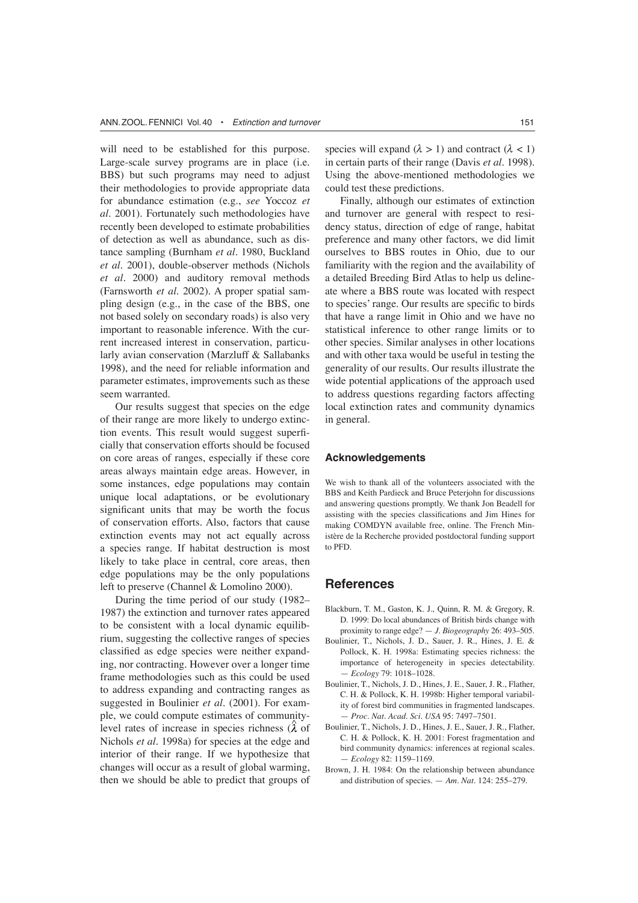will need to be established for this purpose. Large-scale survey programs are in place (i.e. BBS) but such programs may need to adjust their methodologies to provide appropriate data for abundance estimation (e.g., *see* Yoccoz *et al.* 2001). Fortunately such methodologies have recently been developed to estimate probabilities of detection as well as abundance, such as distance sampling (Burnham *et al.* 1980, Buckland *et al.* 2001), double-observer methods (Nichols *et al.* 2000) and auditory removal methods (Farnsworth *et al.* 2002). A proper spatial sampling design (e.g., in the case of the BBS, one not based solely on secondary roads) is also very important to reasonable inference. With the current increased interest in conservation, particularly avian conservation (Marzluff & Sallabanks 1998), and the need for reliable information and parameter estimates, improvements such as these seem warranted.

Our results suggest that species on the edge of their range are more likely to undergo extinction events. This result would suggest superficially that conservation efforts should be focused on core areas of ranges, especially if these core areas always maintain edge areas. However, in some instances, edge populations may contain unique local adaptations, or be evolutionary significant units that may be worth the focus of conservation efforts. Also, factors that cause extinction events may not act equally across a species range. If habitat destruction is most likely to take place in central, core areas, then edge populations may be the only populations left to preserve (Channel & Lomolino 2000).

During the time period of our study (1982– 1987) the extinction and turnover rates appeared to be consistent with a local dynamic equilibrium, suggesting the collective ranges of species classified as edge species were neither expanding, nor contracting. However over a longer time frame methodologies such as this could be used to address expanding and contracting ranges as suggested in Boulinier *et al.* (2001). For example, we could compute estimates of communitylevel rates of increase in species richness  $(\lambda)$  of Nichols *et al.* 1998a) for species at the edge and interior of their range. If we hypothesize that changes will occur as a result of global warming, then we should be able to predict that groups of species will expand  $(\lambda > 1)$  and contract  $(\lambda < 1)$ in certain parts of their range (Davis *et al.* 1998). Using the above-mentioned methodologies we could test these predictions.

Finally, although our estimates of extinction and turnover are general with respect to residency status, direction of edge of range, habitat preference and many other factors, we did limit ourselves to BBS routes in Ohio, due to our familiarity with the region and the availability of a detailed Breeding Bird Atlas to help us delineate where a BBS route was located with respect to species' range. Our results are specific to birds that have a range limit in Ohio and we have no statistical inference to other range limits or to other species. Similar analyses in other locations and with other taxa would be useful in testing the generality of our results. Our results illustrate the wide potential applications of the approach used to address questions regarding factors affecting local extinction rates and community dynamics in general.

## **Acknowledgements**

We wish to thank all of the volunteers associated with the BBS and Keith Pardieck and Bruce Peterjohn for discussions and answering questions promptly. We thank Jon Beadell for assisting with the species classifications and Jim Hines for making COMDYN available free, online. The French Ministère de la Recherche provided postdoctoral funding support to PFD.

# **References**

- Blackburn, T. M., Gaston, K. J., Quinn, R. M. & Gregory, R. D. 1999: Do local abundances of British birds change with proximity to range edge? — *J. Biogeography* 26: 493–505.
- Boulinier, T., Nichols, J. D., Sauer, J. R., Hines, J. E. & Pollock, K. H. 1998a: Estimating species richness: the importance of heterogeneity in species detectability. — *Ecology* 79: 1018–1028.
- Boulinier, T., Nichols, J. D., Hines, J. E., Sauer, J. R., Flather, C. H. & Pollock, K. H. 1998b: Higher temporal variability of forest bird communities in fragmented landscapes. — *Proc. Nat. Acad. Sci. USA* 95: 7497–7501.
- Boulinier, T., Nichols, J. D., Hines, J. E., Sauer, J. R., Flather, C. H. & Pollock, K. H. 2001: Forest fragmentation and bird community dynamics: inferences at regional scales. — *Ecology* 82: 1159–1169.
- Brown, J. H. 1984: On the relationship between abundance and distribution of species. — *Am. Nat.* 124: 255–279.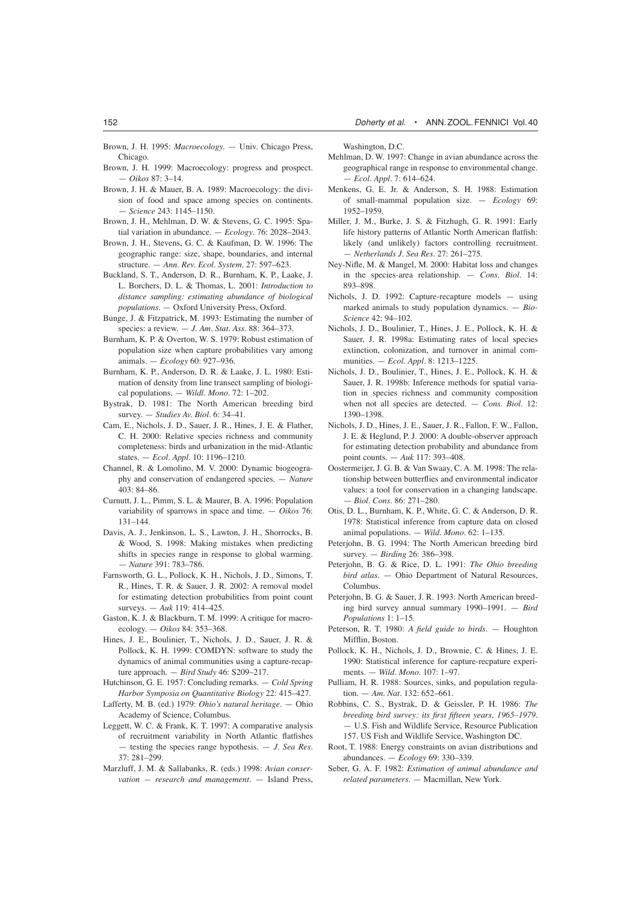- Brown, J. H. 1995: *Macroecology.* Univ. Chicago Press, Chicago.
- Brown, J. H. 1999: Macroecology: progress and prospect. — *Oikos* 87: 3–14.
- Brown, J. H. & Mauer, B. A. 1989: Macroecology: the division of food and space among species on continents. — *Science* 243: 1145–1150.
- Brown, J. H., Mehlman, D. W. & Stevens, G. C. 1995: Spatial variation in abundance. — *Ecology*. 76: 2028–2043.
- Brown, J. H., Stevens, G. C. & Kaufman, D. W. 1996: The geographic range: size, shape, boundaries, and internal structure. — *Ann. Rev. Ecol. System*. 27: 597–623.
- Buckland, S. T., Anderson, D. R., Burnham, K. P., Laake, J. L. Borchers, D. L. & Thomas, L. 2001: *Introduction to distance sampling: estimating abundance of biological populations.* — Oxford University Press, Oxford.
- Bunge, J. & Fitzpatrick, M. 1993: Estimating the number of species: a review. — *J. Am. Stat. Ass*. 88: 364–373.
- Burnham, K. P. & Overton, W. S. 1979: Robust estimation of population size when capture probabilities vary among animals. — *Ecology* 60: 927–936.
- Burnham, K. P., Anderson, D. R. & Laake, J. L. 1980: Estimation of density from line transect sampling of biological populations. — *Wildl. Mono*. 72: 1–202.
- Bystrak, D. 1981: The North American breeding bird survey. — *Studies Av. Biol*. 6: 34–41.
- Cam, E., Nichols, J. D., Sauer, J. R., Hines, J. E. & Flather, C. H. 2000: Relative species richness and community completeness: birds and urbanization in the mid-Atlantic states. — *Ecol. Appl.* 10: 1196–1210.
- Channel, R. & Lomolino, M. V. 2000: Dynamic biogeography and conservation of endangered species. — *Nature* 403: 84–86.
- Curnutt, J. L., Pimm, S. L. & Maurer, B. A. 1996: Population variability of sparrows in space and time. — *Oikos* 76: 131–144.
- Davis, A. J., Jenkinson, L. S., Lawton, J. H., Shorrocks, B. & Wood, S. 1998: Making mistakes when predicting shifts in species range in response to global warming. — *Nature* 391: 783–786.
- Farnsworth, G. L., Pollock, K. H., Nichols, J. D., Simons, T. R., Hines, T. R. & Sauer, J. R. 2002: A removal model for estimating detection probabilities from point count surveys. — *Auk* 119: 414–425.
- Gaston, K. J. & Blackburn, T. M. 1999: A critique for macroecology. — *Oikos* 84: 353–368.
- Hines, J. E., Boulinier, T., Nichols, J. D., Sauer, J. R. & Pollock, K. H. 1999: COMDYN: software to study the dynamics of animal communities using a capture-recapture approach. — *Bird Study* 46: S209–217.
- Hutchinson, G. E. 1957: Concluding remarks. *Cold Spring Harbor Symposia on Quantitative Biology* 22: 415–427.
- Lafferty, M. B. (ed.) 1979: *Ohio's natural heritage*. Ohio Academy of Science, Columbus.
- Leggett, W. C. & Frank, K. T. 1997: A comparative analysis of recruitment variability in North Atlantic flatfishes — testing the species range hypothesis. — *J. Sea Res*. 37: 281–299.
- Marzluff, J. M. & Sallabanks, R. (eds.) 1998: *Avian conservation — research and management*. — Island Press,

Washington, D.C.

- Mehlman, D. W. 1997: Change in avian abundance across the geographical range in response to environmental change. — *Ecol. Appl*. 7: 614–624.
- Menkens, G. E. Jr. & Anderson, S. H. 1988: Estimation of small-mammal population size. — *Ecology* 69: 1952–1959.
- Miller, J. M., Burke, J. S. & Fitzhugh, G. R. 1991: Early life history patterns of Atlantic North American flatfish: likely (and unlikely) factors controlling recruitment. — *Netherlands J. Sea Res*. 27: 261–275.
- Ney-Nifle, M. & Mangel, M. 2000: Habitat loss and changes in the species-area relationship. — *Cons. Biol.* 14: 893–898.
- Nichols, J. D. 1992: Capture-recapture models using marked animals to study population dynamics. — *Bio-Science* 42: 94–102.
- Nichols, J. D., Boulinier, T., Hines, J. E., Pollock, K. H. & Sauer, J. R. 1998a: Estimating rates of local species extinction, colonization, and turnover in animal communities. — *Ecol. Appl*. 8: 1213–1225.
- Nichols, J. D., Boulinier, T., Hines, J. E., Pollock, K. H. & Sauer, J. R. 1998b: Inference methods for spatial variation in species richness and community composition when not all species are detected. — *Cons. Biol*. 12: 1390–1398.
- Nichols, J. D., Hines, J. E., Sauer, J. R., Fallon, F. W., Fallon, J. E. & Heglund, P. J. 2000: A double-observer approach for estimating detection probability and abundance from point counts. — *Auk* 117: 393–408.
- Oostermeijer, J. G. B. & Van Swaay, C. A. M. 1998: The relationship between butterflies and environmental indicator values: a tool for conservation in a changing landscape. — *Biol. Cons*. 86: 271–280.
- Otis, D. L., Burnham, K. P., White, G. C. & Anderson, D. R. 1978: Statistical inference from capture data on closed animal populations. — *Wild. Mono*. 62: 1–135.
- Peterjohn, B. G. 1994: The North American breeding bird survey. — *Birding* 26: 386–398.
- Peterjohn, B. G. & Rice, D. L. 1991: *The Ohio breeding bird atlas*. — Ohio Department of Natural Resources, Columbus.
- Peterjohn, B. G. & Sauer, J. R. 1993: North American breeding bird survey annual summary 1990–1991. — *Bird Populations* 1: 1–15.
- Peterson, R. T. 1980: *A field guide to birds*. Houghton Mifflin, Boston.
- Pollock, K. H., Nichols, J. D., Brownie, C. & Hines, J. E. 1990: Statistical inference for capture-recpature experiments. — *Wild. Mono*. 107: 1–97.
- Pulliam, H. R. 1988: Sources, sinks, and population regulation. — *Am. Nat*. 132: 652–661.
- Robbins, C. S., Bystrak, D. & Geissler, P. H. 1986: *The breeding bird survey: its first fifteen years, 1965–1979.* — U.S. Fish and Wildlife Service, Resource Publication 157. US Fish and Wildlife Service, Washington DC.
- Root, T. 1988: Energy constraints on avian distributions and abundances. — *Ecology* 69: 330–339.
- Seber, G. A. F. 1982: *Estimation of animal abundance and related parameters*. — Macmillan, New York.